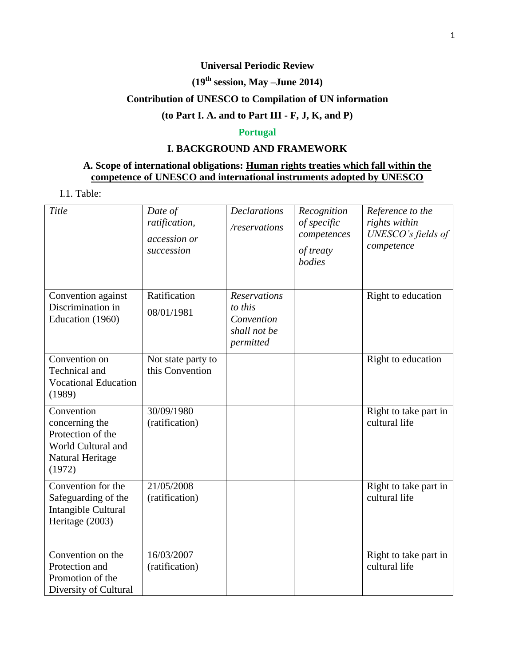### **Universal Periodic Review**

# **(19 th session, May –June 2014)**

# **Contribution of UNESCO to Compilation of UN information**

# **(to Part I. A. and to Part III - F, J, K, and P)**

### **Portugal**

# **I. BACKGROUND AND FRAMEWORK**

## **A. Scope of international obligations: Human rights treaties which fall within the competence of UNESCO and international instruments adopted by UNESCO**

I.1. Table:

| Title                                                                                                 | Date of<br>ratification,<br>accession or<br>succession | <b>Declarations</b><br>/reservations                                      | Recognition<br>of specific<br>competences<br>of treaty<br>bodies | Reference to the<br>rights within<br>UNESCO's fields of<br>competence |
|-------------------------------------------------------------------------------------------------------|--------------------------------------------------------|---------------------------------------------------------------------------|------------------------------------------------------------------|-----------------------------------------------------------------------|
| Convention against<br>Discrimination in<br>Education (1960)                                           | Ratification<br>08/01/1981                             | <b>Reservations</b><br>to this<br>Convention<br>shall not be<br>permitted |                                                                  | Right to education                                                    |
| Convention on<br>Technical and<br><b>Vocational Education</b><br>(1989)                               | Not state party to<br>this Convention                  |                                                                           |                                                                  | Right to education                                                    |
| Convention<br>concerning the<br>Protection of the<br>World Cultural and<br>Natural Heritage<br>(1972) | 30/09/1980<br>(ratification)                           |                                                                           |                                                                  | Right to take part in<br>cultural life                                |
| Convention for the<br>Safeguarding of the<br>Intangible Cultural<br>Heritage (2003)                   | 21/05/2008<br>(ratification)                           |                                                                           |                                                                  | Right to take part in<br>cultural life                                |
| Convention on the<br>Protection and<br>Promotion of the<br>Diversity of Cultural                      | 16/03/2007<br>(ratification)                           |                                                                           |                                                                  | Right to take part in<br>cultural life                                |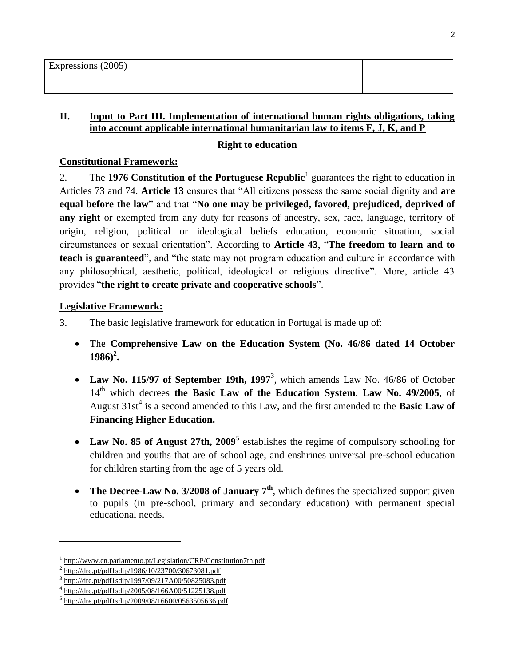| Expressions (2005) |  |  |
|--------------------|--|--|
|                    |  |  |

## **II. Input to Part III. Implementation of international human rights obligations, taking into account applicable international humanitarian law to items F, J, K, and P**

## **Right to education**

## **Constitutional Framework:**

2. The 1976 Constitution of the Portuguese Republic<sup>1</sup> guarantees the right to education in Articles 73 and 74. **Article 13** ensures that "All citizens possess the same social dignity and **are equal before the law**" and that "**No one may be privileged, favored, prejudiced, deprived of any right** or exempted from any duty for reasons of ancestry, sex, race, language, territory of origin, religion, political or ideological beliefs education, economic situation, social circumstances or sexual orientation". According to **Article 43**, "**The freedom to learn and to teach is guaranteed**", and "the state may not program education and culture in accordance with any philosophical, aesthetic, political, ideological or religious directive". More, article 43 provides "**the right to create private and cooperative schools**".

# **Legislative Framework:**

- 3. The basic legislative framework for education in Portugal is made up of:
	- The **Comprehensive Law on the Education System (No. 46/86 dated 14 October 1986)<sup>2</sup> .**
	- Law No. 115/97 of September 19th, 1997<sup>3</sup>, which amends Law No. 46/86 of October 14th which decrees **the Basic Law of the Education System**. **Law No. 49/2005**, of August  $31st^4$  is a second amended to this Law, and the first amended to the **Basic Law of Financing Higher Education.**
	- Law No. 85 of August 27th, 2009<sup>5</sup> establishes the regime of compulsory schooling for children and youths that are of school age, and enshrines universal pre-school education for children starting from the age of 5 years old.
	- The Decree-Law No. 3/2008 of January 7<sup>th</sup>, which defines the specialized support given to pupils (in pre-school, primary and secondary education) with permanent special educational needs.

 $\overline{\phantom{a}}$ 

<sup>&</sup>lt;sup>1</sup> <http://www.en.parlamento.pt/Legislation/CRP/Constitution7th.pdf>

 $^{2}$  <http://dre.pt/pdf1sdip/1986/10/23700/30673081.pdf>

<sup>&</sup>lt;sup>3</sup> <http://dre.pt/pdf1sdip/1997/09/217A00/50825083.pdf>

<sup>4</sup> <http://dre.pt/pdf1sdip/2005/08/166A00/51225138.pdf>

<sup>&</sup>lt;sup>5</sup> <http://dre.pt/pdf1sdip/2009/08/16600/0563505636.pdf>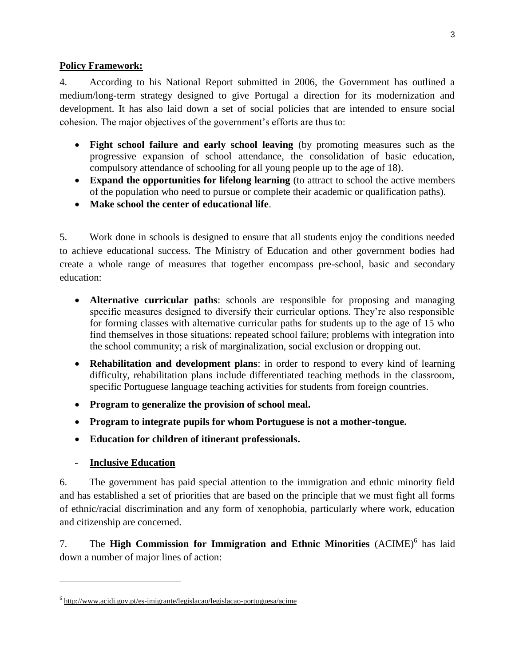### **Policy Framework:**

4. According to his National Report submitted in 2006, the Government has outlined a medium/long-term strategy designed to give Portugal a direction for its modernization and development. It has also laid down a set of social policies that are intended to ensure social cohesion. The major objectives of the government's efforts are thus to:

- **Fight school failure and early school leaving** (by promoting measures such as the progressive expansion of school attendance, the consolidation of basic education, compulsory attendance of schooling for all young people up to the age of 18).
- **Expand the opportunities for lifelong learning** (to attract to school the active members of the population who need to pursue or complete their academic or qualification paths).
- **Make school the center of educational life**.

5. Work done in schools is designed to ensure that all students enjoy the conditions needed to achieve educational success. The Ministry of Education and other government bodies had create a whole range of measures that together encompass pre-school, basic and secondary education:

- **Alternative curricular paths**: schools are responsible for proposing and managing specific measures designed to diversify their curricular options. They're also responsible for forming classes with alternative curricular paths for students up to the age of 15 who find themselves in those situations: repeated school failure; problems with integration into the school community; a risk of marginalization, social exclusion or dropping out.
- **Rehabilitation and development plans**: in order to respond to every kind of learning difficulty, rehabilitation plans include differentiated teaching methods in the classroom, specific Portuguese language teaching activities for students from foreign countries.
- **Program to generalize the provision of school meal.**
- **Program to integrate pupils for whom Portuguese is not a mother-tongue.**
- **Education for children of itinerant professionals.**
- **Inclusive Education**

 $\overline{\phantom{a}}$ 

6. The government has paid special attention to the immigration and ethnic minority field and has established a set of priorities that are based on the principle that we must fight all forms of ethnic/racial discrimination and any form of xenophobia, particularly where work, education and citizenship are concerned.

7. The **High Commission for Immigration and Ethnic Minorities** (ACIME)<sup>6</sup> has laid down a number of major lines of action:

<sup>&</sup>lt;sup>6</sup> <http://www.acidi.gov.pt/es-imigrante/legislacao/legislacao-portuguesa/acime>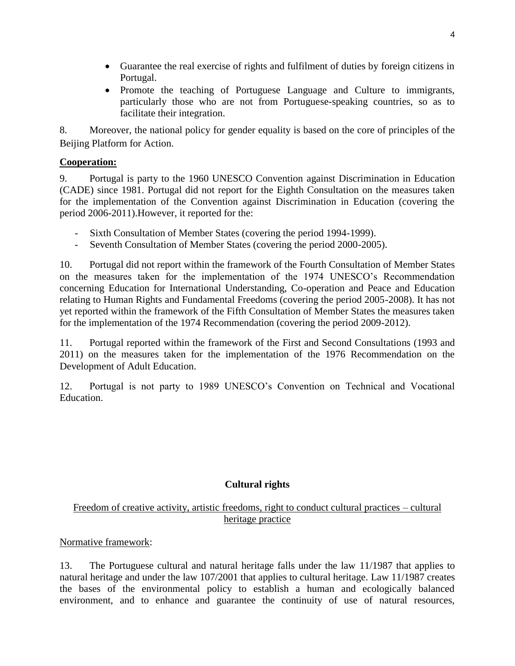- Guarantee the real exercise of rights and fulfilment of duties by foreign citizens in Portugal.
- Promote the teaching of Portuguese Language and Culture to immigrants, particularly those who are not from Portuguese-speaking countries, so as to facilitate their integration.

8. Moreover, the national policy for gender equality is based on the core of principles of the Beijing Platform for Action.

# **Cooperation:**

9. Portugal is party to the 1960 UNESCO Convention against Discrimination in Education (CADE) since 1981. Portugal did not report for the Eighth Consultation on the measures taken for the implementation of the Convention against Discrimination in Education (covering the period 2006-2011).However, it reported for the:

- Sixth Consultation of Member States (covering the period 1994-1999).
- Seventh Consultation of Member States (covering the period 2000-2005).

10. Portugal did not report within the framework of the Fourth Consultation of Member States on the measures taken for the implementation of the 1974 UNESCO's Recommendation concerning Education for International Understanding, Co-operation and Peace and Education relating to Human Rights and Fundamental Freedoms (covering the period 2005-2008). It has not yet reported within the framework of the Fifth Consultation of Member States the measures taken for the implementation of the 1974 Recommendation (covering the period 2009-2012).

11. Portugal reported within the framework of the First and Second Consultations (1993 and 2011) on the measures taken for the implementation of the 1976 Recommendation on the Development of Adult Education.

12. Portugal is not party to 1989 UNESCO's Convention on Technical and Vocational Education.

# **Cultural rights**

# Freedom of creative activity, artistic freedoms, right to conduct cultural practices – cultural heritage practice

# Normative framework:

13. The Portuguese cultural and natural heritage falls under the law 11/1987 that applies to natural heritage and under the law 107/2001 that applies to cultural heritage. Law 11/1987 creates the bases of the environmental policy to establish a human and ecologically balanced environment, and to enhance and guarantee the continuity of use of natural resources,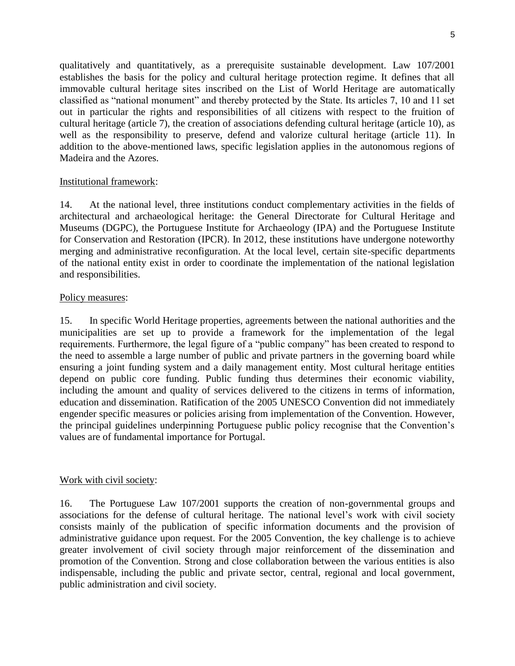qualitatively and quantitatively, as a prerequisite sustainable development. Law 107/2001 establishes the basis for the policy and cultural heritage protection regime. It defines that all immovable cultural heritage sites inscribed on the List of World Heritage are automatically classified as "national monument" and thereby protected by the State. Its articles 7, 10 and 11 set out in particular the rights and responsibilities of all citizens with respect to the fruition of cultural heritage (article 7), the creation of associations defending cultural heritage (article 10), as well as the responsibility to preserve, defend and valorize cultural heritage (article 11). In addition to the above-mentioned laws, specific legislation applies in the autonomous regions of Madeira and the Azores.

### Institutional framework:

14. At the national level, three institutions conduct complementary activities in the fields of architectural and archaeological heritage: the General Directorate for Cultural Heritage and Museums (DGPC), the Portuguese Institute for Archaeology (IPA) and the Portuguese Institute for Conservation and Restoration (IPCR). In 2012, these institutions have undergone noteworthy merging and administrative reconfiguration. At the local level, certain site-specific departments of the national entity exist in order to coordinate the implementation of the national legislation and responsibilities.

#### Policy measures:

15. In specific World Heritage properties, agreements between the national authorities and the municipalities are set up to provide a framework for the implementation of the legal requirements. Furthermore, the legal figure of a "public company" has been created to respond to the need to assemble a large number of public and private partners in the governing board while ensuring a joint funding system and a daily management entity. Most cultural heritage entities depend on public core funding. Public funding thus determines their economic viability, including the amount and quality of services delivered to the citizens in terms of information, education and dissemination. Ratification of the 2005 UNESCO Convention did not immediately engender specific measures or policies arising from implementation of the Convention. However, the principal guidelines underpinning Portuguese public policy recognise that the Convention's values are of fundamental importance for Portugal.

### Work with civil society:

16. The Portuguese Law 107/2001 supports the creation of non-governmental groups and associations for the defense of cultural heritage. The national level's work with civil society consists mainly of the publication of specific information documents and the provision of administrative guidance upon request. For the 2005 Convention, the key challenge is to achieve greater involvement of civil society through major reinforcement of the dissemination and promotion of the Convention. Strong and close collaboration between the various entities is also indispensable, including the public and private sector, central, regional and local government, public administration and civil society.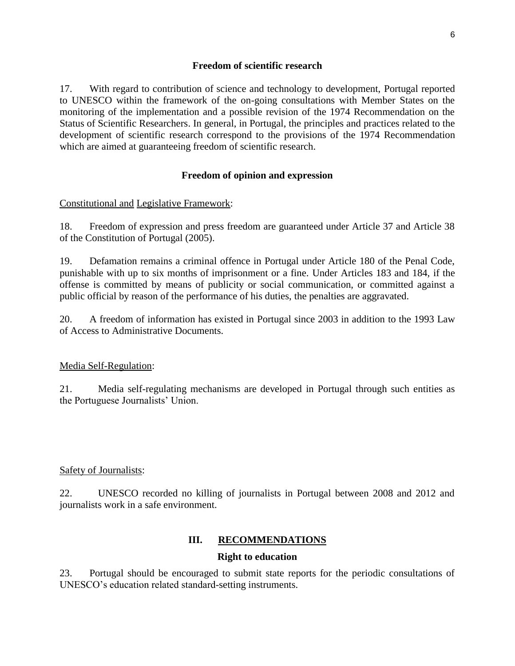#### **Freedom of scientific research**

17. With regard to contribution of science and technology to development, Portugal reported to UNESCO within the framework of the on-going consultations with Member States on the monitoring of the implementation and a possible revision of the 1974 Recommendation on the Status of Scientific Researchers. In general, in Portugal, the principles and practices related to the development of scientific research correspond to the provisions of the 1974 Recommendation which are aimed at guaranteeing freedom of scientific research.

#### **Freedom of opinion and expression**

#### Constitutional and Legislative Framework:

18. Freedom of expression and press freedom are guaranteed under Article 37 and Article 38 of the Constitution of Portugal (2005).

19. Defamation remains a criminal offence in Portugal under Article 180 of the Penal Code, punishable with up to six months of imprisonment or a fine. Under Articles 183 and 184, if the offense is committed by means of publicity or social communication, or committed against a public official by reason of the performance of his duties, the penalties are aggravated.

20. A freedom of information has existed in Portugal since 2003 in addition to the 1993 Law of Access to Administrative Documents.

Media Self-Regulation:

21. Media self-regulating mechanisms are developed in Portugal through such entities as the Portuguese Journalists' Union.

#### Safety of Journalists:

22. UNESCO recorded no killing of journalists in Portugal between 2008 and 2012 and journalists work in a safe environment.

#### **III. RECOMMENDATIONS**

#### **Right to education**

23. Portugal should be encouraged to submit state reports for the periodic consultations of UNESCO's education related standard-setting instruments.